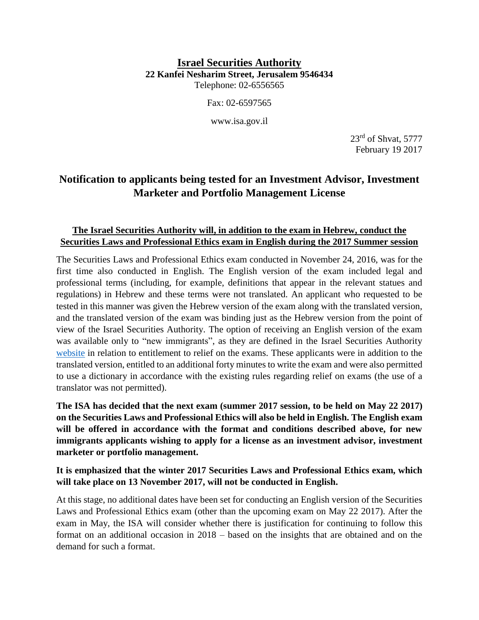## **Israel Securities Authority 22 Kanfei Nesharim Street, Jerusalem 9546434** Telephone: 02-6556565

Fax: 02-6597565

www.isa.gov.il

 $23<sup>rd</sup>$  of Shvat, 5777 February 19 2017

## **Notification to applicants being tested for an Investment Advisor, Investment Marketer and Portfolio Management License**

## **The Israel Securities Authority will, in addition to the exam in Hebrew, conduct the Securities Laws and Professional Ethics exam in English during the 2017 Summer session**

The Securities Laws and Professional Ethics exam conducted in November 24, 2016, was for the first time also conducted in English. The English version of the exam included legal and professional terms (including, for example, definitions that appear in the relevant statues and regulations) in Hebrew and these terms were not translated. An applicant who requested to be tested in this manner was given the Hebrew version of the exam along with the translated version, and the translated version of the exam was binding just as the Hebrew version from the point of view of the Israel Securities Authority. The option of receiving an English version of the exam was available only to "new immigrants", as they are defined in the Israel Securities Authority [website](http://www.isa.gov.il/גופים%20מפוקחים/Licensing_advisors_and_portfolio_managers/Exams/Pages/Providing_ease_exams.aspx) in relation to entitlement to relief on the exams. These applicants were in addition to the translated version, entitled to an additional forty minutes to write the exam and were also permitted to use a dictionary in accordance with the existing rules regarding relief on exams (the use of a translator was not permitted).

**The ISA has decided that the next exam (summer 2017 session, to be held on May 22 2017) on the Securities Laws and Professional Ethics will also be held in English. The English exam will be offered in accordance with the format and conditions described above, for new immigrants applicants wishing to apply for a license as an investment advisor, investment marketer or portfolio management.**

**It is emphasized that the winter 2017 Securities Laws and Professional Ethics exam, which will take place on 13 November 2017, will not be conducted in English.**

At this stage, no additional dates have been set for conducting an English version of the Securities Laws and Professional Ethics exam (other than the upcoming exam on May 22 2017). After the exam in May, the ISA will consider whether there is justification for continuing to follow this format on an additional occasion in 2018 – based on the insights that are obtained and on the demand for such a format.